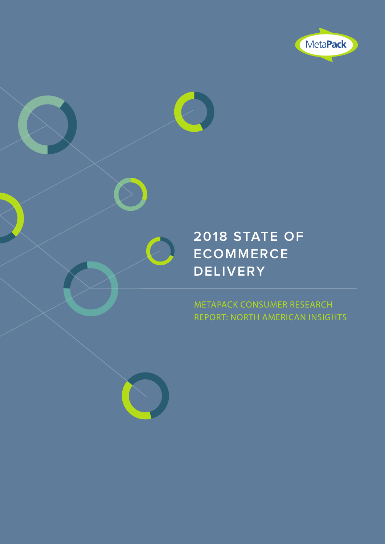

### **2018 STATE OF ECOMMERCE DELIVERY**

METAPACK CONSUMER RESEARCH REPORT: NORTH AMERICAN INSIGHTS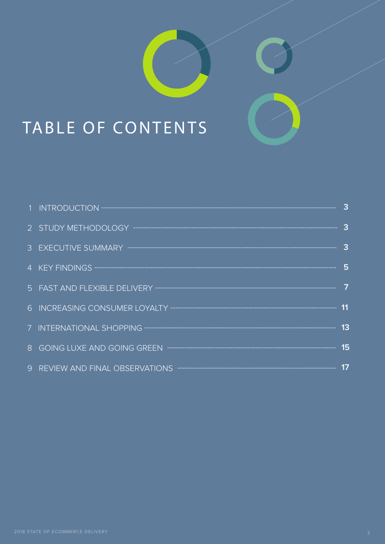# TABLE OF CONTENTS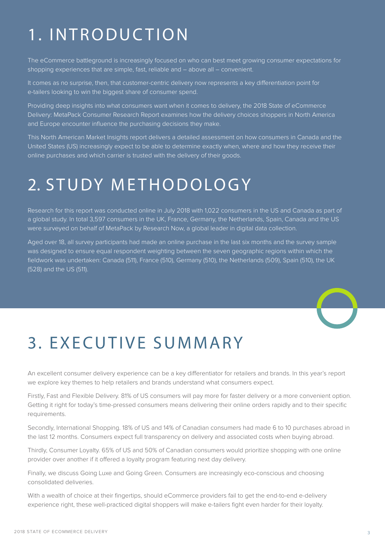## 1. INTRODUCTION

The eCommerce battleground is increasingly focused on who can best meet growing consumer expectations for shopping experiences that are simple, fast, reliable and – above all – convenient.

It comes as no surprise, then, that customer-centric delivery now represents a key differentiation point for e-tailers looking to win the biggest share of consumer spend.

Providing deep insights into what consumers want when it comes to delivery, the 2018 State of eCommerce Delivery: MetaPack Consumer Research Report examines how the delivery choices shoppers in North America and Europe encounter influence the purchasing decisions they make.

This North American Market Insights report delivers a detailed assessment on how consumers in Canada and the United States (US) increasingly expect to be able to determine exactly when, where and how they receive their online purchases and which carrier is trusted with the delivery of their goods.

### 2. STUDY METHODOLOGY

Research for this report was conducted online in July 2018 with 1,022 consumers in the US and Canada as part of a global study. In total 3,597 consumers in the UK, France, Germany, the Netherlands, Spain, Canada and the US were surveyed on behalf of MetaPack by Research Now, a global leader in digital data collection.

Aged over 18, all survey participants had made an online purchase in the last six months and the survey sample was designed to ensure equal respondent weighting between the seven geographic regions within which the fieldwork was undertaken: Canada (511), France (510), Germany (510), the Netherlands (509), Spain (510), the UK (528) and the US (511).



### 3. EXECUTIVE SUMMARY

An excellent consumer delivery experience can be a key differentiator for retailers and brands. In this year's report we explore key themes to help retailers and brands understand what consumers expect.

Firstly, Fast and Flexible Delivery. 81% of US consumers will pay more for faster delivery or a more convenient option. Getting it right for today's time-pressed consumers means delivering their online orders rapidly and to their specific requirements.

Secondly, International Shopping. 18% of US and 14% of Canadian consumers had made 6 to 10 purchases abroad in the last 12 months. Consumers expect full transparency on delivery and associated costs when buying abroad.

Thirdly, Consumer Loyalty. 65% of US and 50% of Canadian consumers would prioritize shopping with one online provider over another if it offered a loyalty program featuring next day delivery.

Finally, we discuss Going Luxe and Going Green. Consumers are increasingly eco-conscious and choosing consolidated deliveries.

With a wealth of choice at their fingertips, should eCommerce providers fail to get the end-to-end e-delivery experience right, these well-practiced digital shoppers will make e-tailers fight even harder for their loyalty.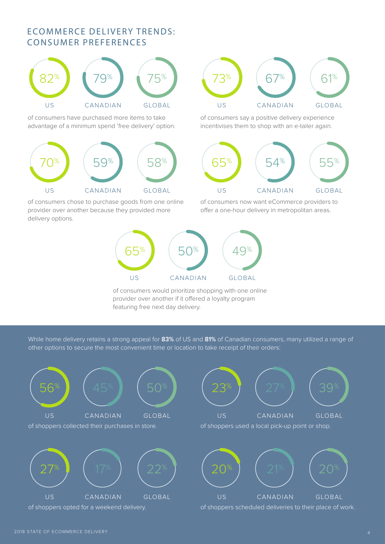### ECOMMERCE DELIVERY TRENDS: CONSUMER PREFERENCES



of consumers have purchased more items to take advantage of a minimum spend 'free delivery' option.



of consumers chose to purchase goods from one online provider over another because they provided more delivery options.



of consumers say a positive delivery experience incentivises them to shop with an e-tailer again.



of consumers now want eCommerce providers to offer a one-hour delivery in metropolitan areas.



of consumers would prioritize shopping with one online provider over another if it offered a loyalty program featuring free next day delivery.

While home delivery retains a strong appeal for **83%** of US and **81%** of Canadian consumers, many utilized a range of other options to secure the most convenient time or location to take receipt of their orders:

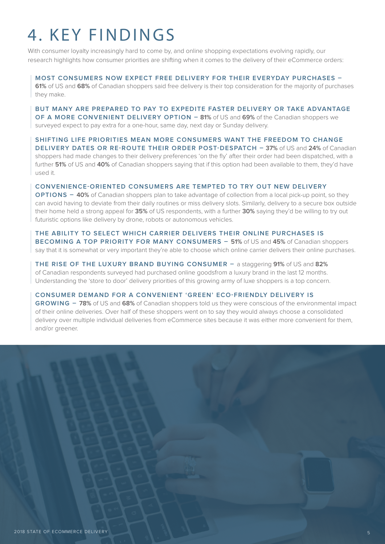## 4. KEY FINDINGS

With consumer loyalty increasingly hard to come by, and online shopping expectations evolving rapidly, our research highlights how consumer priorities are shifting when it comes to the delivery of their eCommerce orders:

#### **MOST CONSUMERS NOW EXPECT FREE DELIVERY FOR THEIR EVERYDAY PURCHASES –**

**61%** of US and **68%** of Canadian shoppers said free delivery is their top consideration for the majority of purchases they make.

**BUT MANY ARE PREPARED TO PAY TO EXPEDITE FASTER DELIVERY OR TAKE ADVANTAGE OF A MORE CONVENIENT DELIVERY OPTION – 81%** of US and **69%** of the Canadian shoppers we surveyed expect to pay extra for a one-hour, same day, next day or Sunday delivery.

**SHIFTING LIFE PRIORITIES MEAN MORE CONSUMERS WANT THE FREEDOM TO CHANGE DELIVERY DATES OR RE-ROUTE THEIR ORDER POST-DESPATCH – 37%** of US and **24%** of Canadian shoppers had made changes to their delivery preferences 'on the fly' after their order had been dispatched, with a further **51%** of US and **40%** of Canadian shoppers saying that if this option had been available to them, they'd have used it.

**CONVENIENCE-ORIENTED CONSUMERS ARE TEMPTED TO TRY OUT NEW DELIVERY OPTIONS – 40%** of Canadian shoppers plan to take advantage of collection from a local pick-up point, so they can avoid having to deviate from their daily routines or miss delivery slots. Similarly, delivery to a secure box outside their home held a strong appeal for **35%** of US respondents, with a further **30%** saying they'd be willing to try out futuristic options like delivery by drone, robots or autonomous vehicles.

**THE ABILITY TO SELECT WHICH CARRIER DELIVERS THEIR ONLINE PURCHASES IS BECOMING A TOP PRIORITY FOR MANY CONSUMERS – 51%** of US and **45%** of Canadian shoppers say that it is somewhat or very important they're able to choose which online carrier delivers their online purchases.

**THE RISE OF THE LUXURY BRAND BUYING CONSUMER –** a staggering **91%** of US and **82%** of Canadian respondents surveyed had purchased online goodsfrom a luxury brand in the last 12 months. Understanding the 'store to door' delivery priorities of this growing army of luxe shoppers is a top concern.

**CONSUMER DEMAND FOR A CONVENIENT 'GREEN' ECO-FRIENDLY DELIVERY IS** 

**GROWING – 78%** of US and **68%** of Canadian shoppers told us they were conscious of the environmental impact of their online deliveries. Over half of these shoppers went on to say they would always choose a consolidated delivery over multiple individual deliveries from eCommerce sites because it was either more convenient for them, and/or greener.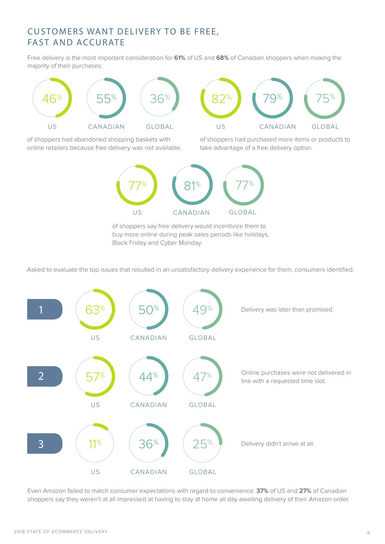#### CUSTOMERS WANT DELIVERY TO BE FREE, FAST AND ACCURATE

Free delivery is the most important consideration for **61%** of US and **68%** of Canadian shoppers when making the majority of their purchases:



of shoppers had abandoned shopping baskets with online retailers because free delivery was not available.

of shoppers had purchased more items or products to take advantage of a free delivery option.



of shoppers say free delivery would incentivize them to buy more online during peak sales periods like holidays, Black Friday and Cyber Monday.

Asked to evaluate the top issues that resulted in an unsatisfactory delivery experience for them, consumers identified:



Even Amazon failed to match consumer expectations with regard to convenience: **37%** of US and **27%** of Canadian shoppers say they weren't at all impressed at having to stay at home all day awaiting delivery of their Amazon order.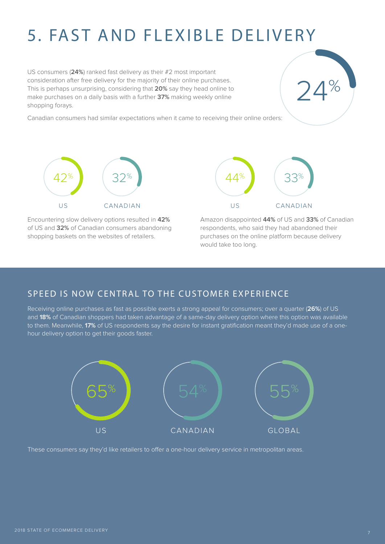## 5. FAST AND FLEXIBLE DELIVERY

US consumers (**24%**) ranked fast delivery as their #2 most important consideration after free delivery for the majority of their online purchases. This is perhaps unsurprising, considering that **20%** say they head online to make purchases on a daily basis with a further **37%** making weekly online shopping forays.

Canadian consumers had similar expectations when it came to receiving their online orders:



Encountering slow delivery options resulted in **42%** of US and **32%** of Canadian consumers abandoning shopping baskets on the websites of retailers.



Amazon disappointed **44%** of US and **33%** of Canadian respondents, who said they had abandoned their purchases on the online platform because delivery would take too long.

 $\frac{1}{2}$ 

#### SPEED IS NOW CENTRAL TO THE CUSTOMER EXPERIENCE

Receiving online purchases as fast as possible exerts a strong appeal for consumers; over a quarter (**26%**) of US and **18%** of Canadian shoppers had taken advantage of a same-day delivery option where this option was available to them. Meanwhile, **17%** of US respondents say the desire for instant gratification meant they'd made use of a onehour delivery option to get their goods faster.



These consumers say they'd like retailers to offer a one-hour delivery service in metropolitan areas.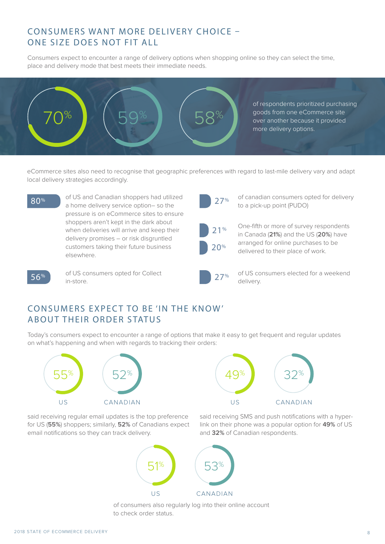#### CONSUMERS WANT MORE DELIVERY CHOICE – ONE SIZE DOES NOT FIT ALL

Consumers expect to encounter a range of delivery options when shopping online so they can select the time, place and delivery mode that best meets their immediate needs.



eCommerce sites also need to recognise that geographic preferences with regard to last-mile delivery vary and adapt local delivery strategies accordingly.

of US and Canadian shoppers had utilized a home delivery service option– so the to a pick-up point (PUDO) and the delivery service option– so the pressure is on eCommerce sites to ensure shoppers aren't kept in the dark about when deliveries will arrive and keep their delivery promises – or risk disgruntled customers taking their future business elsewhere.



of canadian consumers opted for delivery

21%  $20%$ 

One-fifth or more of survey respondents in Canada (**21%**) and the US (**20%**) have arranged for online purchases to be delivered to their place of work.



of US consumers opted for Collect  $\left[56\% \right]$  or US CC



of US consumers elected for a weekend  $27%$  OT US CO<br>delivery

#### CONSUMERS EXPECT TO BE 'IN THE KNOW' ABOUT THEIR ORDER STATUS

Today's consumers expect to encounter a range of options that make it easy to get frequent and regular updates on what's happening and when with regards to tracking their orders:





and **32%** of Canadian respondents.

said receiving SMS and push notifications with a hyperlink on their phone was a popular option for **49%** of US

said receiving regular email updates is the top preference for US (**55%**) shoppers; similarly, **52%** of Canadians expect email notifications so they can track delivery.



of consumers also regularly log into their online account to check order status.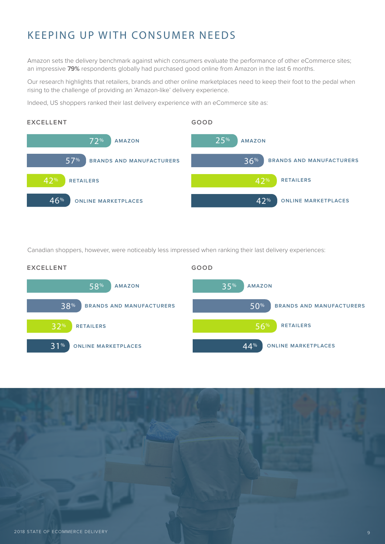### KEEPING UP WITH CONSUMER NEEDS

Amazon sets the delivery benchmark against which consumers evaluate the performance of other eCommerce sites; an impressive **79%** respondents globally had purchased good online from Amazon in the last 6 months.

Our research highlights that retailers, brands and other online marketplaces need to keep their foot to the pedal when rising to the challenge of providing an 'Amazon-like' delivery experience.

Indeed, US shoppers ranked their last delivery experience with an eCommerce site as:



Canadian shoppers, however, were noticeably less impressed when ranking their last delivery experiences:



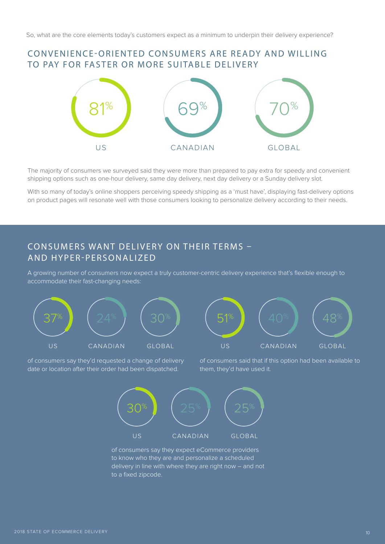#### CONVENIENCE-ORIENTED CONSUMERS ARE READY AND WILLING TO PAY FOR FASTER OR MORE SUITABLE DELIVERY



The majority of consumers we surveyed said they were more than prepared to pay extra for speedy and convenient shipping options such as one-hour delivery, same day delivery, next day delivery or a Sunday delivery slot.

With so many of today's online shoppers perceiving speedy shipping as a 'must have', displaying fast-delivery options on product pages will resonate well with those consumers looking to personalize delivery according to their needs.

#### CONSUMERS WANT DELIVERY ON THEIR TERMS – AND HYPER-PERSONALIZED

A growing number of consumers now expect a truly customer-centric delivery experience that's flexible enough to accommodate their fast-changing needs:



of consumers say they'd requested a change of delivery date or location after their order had been dispatched.

of consumers said that if this option had been available to them, they'd have used it.



of consumers say they expect eCommerce providers to know who they are and personalize a scheduled delivery in line with where they are right now – and not to a fixed zipcode.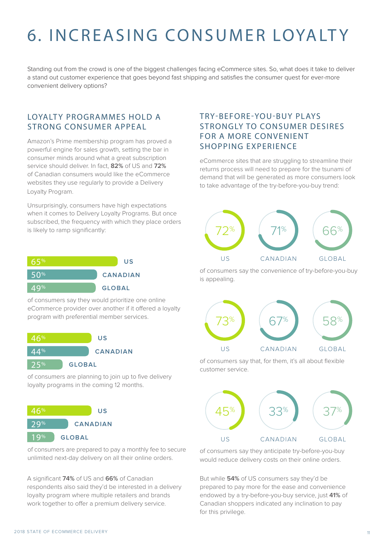# 6. INCREASING CONSUMER LOYALT Y

Standing out from the crowd is one of the biggest challenges facing eCommerce sites. So, what does it take to deliver a stand out customer experience that goes beyond fast shipping and satisfies the consumer quest for ever-more convenient delivery options?

#### LOYALTY PROGRAMMES HOLD A STRONG CONSUMER APPEAL

Amazon's Prime membership program has proved a powerful engine for sales growth, setting the bar in consumer minds around what a great subscription service should deliver. In fact, **82%** of US and **72%** of Canadian consumers would like the eCommerce websites they use regularly to provide a Delivery Loyalty Program.

Unsurprisingly, consumers have high expectations when it comes to Delivery Loyalty Programs. But once subscribed, the frequency with which they place orders is likely to ramp significantly:



of consumers say they would prioritize one online eCommerce provider over another if it offered a loyalty program with preferential member services.



of consumers are planning to join up to five delivery loyalty programs in the coming 12 months.



of consumers are prepared to pay a monthly fee to secure unlimited next-day delivery on all their online orders.

A significant **74%** of US and **66%** of Canadian respondents also said they'd be interested in a delivery loyalty program where multiple retailers and brands work together to offer a premium delivery service.

#### TRY-BEFORE-YOU-BUY PLAYS STRONGLY TO CONSUMER DESIRES FOR A MORE CONVENIENT SHOPPING EXPERIENCE

eCommerce sites that are struggling to streamline their returns process will need to prepare for the tsunami of demand that will be generated as more consumers look to take advantage of the try-before-you-buy trend:



of consumers say the convenience of try-before-you-buy is appealing.



of consumers say that, for them, it's all about flexible customer service.



of consumers say they anticipate try-before-you-buy would reduce delivery costs on their online orders.

But while **54%** of US consumers say they'd be prepared to pay more for the ease and convenience endowed by a try-before-you-buy service, just **41%** of Canadian shoppers indicated any inclination to pay for this privilege.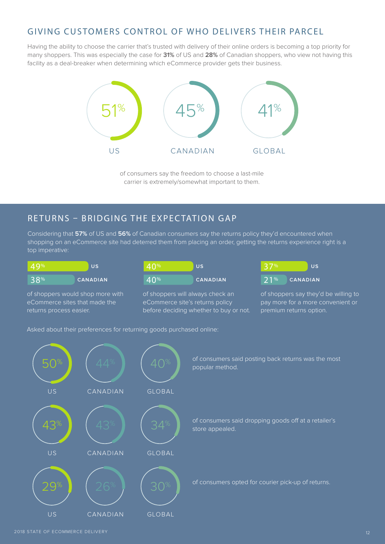### GIVING CUSTOMERS CONTROL OF WHO DELIVERS THEIR PARCEL

Having the ability to choose the carrier that's trusted with delivery of their online orders is becoming a top priority for many shoppers. This was especially the case for **31%** of US and **28%** of Canadian shoppers, who view not having this facility as a deal-breaker when determining which eCommerce provider gets their business.



of consumers say the freedom to choose a last-mile carrier is extremely/somewhat important to them.

#### RETURNS – BRIDGING THE EXPECTATION GAP

Considering that **57%** of US and **56%** of Canadian consumers say the returns policy they'd encountered when shopping on an eCommerce site had deterred them from placing an order, getting the returns experience right is a top imperative:

| 49% | -US             |
|-----|-----------------|
| 38% | <b>CANADIAN</b> |

of shoppers would shop more with eCommerce sites that made the returns process easier.

| $\mid$ 40% | -US             |
|------------|-----------------|
| $-40%$     | <b>CANADIAN</b> |

of shoppers will always check an eCommerce site's returns policy before deciding whether to buy or not.

|     | <b>US</b>       |
|-----|-----------------|
| 71% | <b>CANADIAN</b> |

of shoppers say they'd be willing to pay more for a more convenient or premium returns option.

Asked about their preferences for returning goods purchased online:



2018 STATE OF ECOMMERCE DELIVERY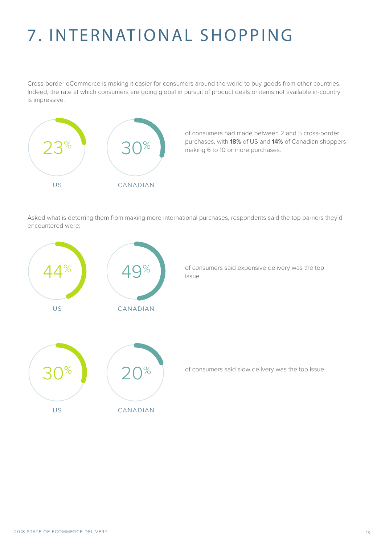# 7. INTERNATIONAL SHOPPING

Cross-border eCommerce is making it easier for consumers around the world to buy goods from other countries. Indeed, the rate at which consumers are going global in pursuit of product deals or items not available in-country is impressive.



of consumers had made between 2 and 5 cross-border purchases, with **18%** of US and **14%** of Canadian shoppers making 6 to 10 or more purchases.

Asked what is deterring them from making more international purchases, respondents said the top barriers they'd encountered were:

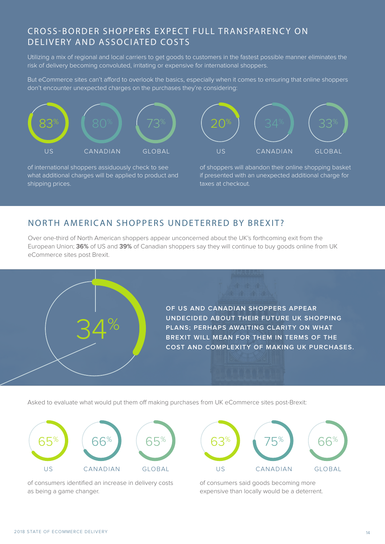#### CROSS-BORDER SHOPPERS EXPECT FULL TRANSPARENCY ON DELIVERY AND ASSOCIATED COSTS

Utilizing a mix of regional and local carriers to get goods to customers in the fastest possible manner eliminates the risk of delivery becoming convoluted, irritating or expensive for international shoppers.

But eCommerce sites can't afford to overlook the basics, especially when it comes to ensuring that online shoppers don't encounter unexpected charges on the purchases they're considering:



of international shoppers assiduously check to see what additional charges will be applied to product and shipping prices.



of shoppers will abandon their online shopping basket if presented with an unexpected additional charge for taxes at checkout.

#### NORTH AMERICAN SHOPPERS UNDETERRED BY BREXIT?

Over one-third of North American shoppers appear unconcerned about the UK's forthcoming exit from the European Union; **36%** of US and **39%** of Canadian shoppers say they will continue to buy goods online from UK eCommerce sites post Brexit.



Asked to evaluate what would put them off making purchases from UK eCommerce sites post-Brexit:



of consumers identified an increase in delivery costs as being a game changer.

US CANADIAN GLOBAL US CANADIAN GLOBAL

of consumers said goods becoming more expensive than locally would be a deterrent.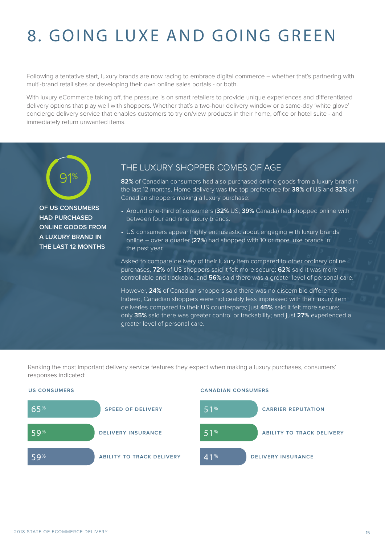# 8. GOING LUXE AND GOING GREEN

Following a tentative start, luxury brands are now racing to embrace digital commerce – whether that's partnering with multi-brand retail sites or developing their own online sales portals - or both.

With luxury eCommerce taking off, the pressure is on smart retailers to provide unique experiences and differentiated delivery options that play well with shoppers. Whether that's a two-hour delivery window or a same-day 'white glove' concierge delivery service that enables customers to try on/view products in their home, office or hotel suite - and immediately return unwanted items.



**OF US CONSUMERS HAD PURCHASED ONLINE GOODS FROM A LUXURY BRAND IN THE LAST 12 MONTHS**

#### THE LUXURY SHOPPER COMES OF AGE

**82%** of Canadian consumers had also purchased online goods from a luxury brand in the last 12 months. Home delivery was the top preference for **38%** of US and **32%** of Canadian shoppers making a luxury purchase:

- Around one-third of consumers (**32%** US; **39%** Canada) had shopped online with between four and nine luxury brands.
- US consumers appear highly enthusiastic about engaging with luxury brands online – over a quarter (**27%**) had shopped with 10 or more luxe brands in the past year.

Asked to compare delivery of their luxury item compared to other ordinary online purchases, **72%** of US shoppers said it felt more secure; **62%** said it was more controllable and trackable; and **56%** said there was a greater level of personal care.

However, **24%** of Canadian shoppers said there was no discernible difference. Indeed, Canadian shoppers were noticeably less impressed with their luxury item deliveries compared to their US counterparts; just **45%** said it felt more secure; only **35%** said there was greater control or trackability; and just **27%** experienced a greater level of personal care.

Ranking the most important delivery service features they expect when making a luxury purchases, consumers' responses indicated:



#### **US CONSUMERS CANADIAN CONSUMERS**

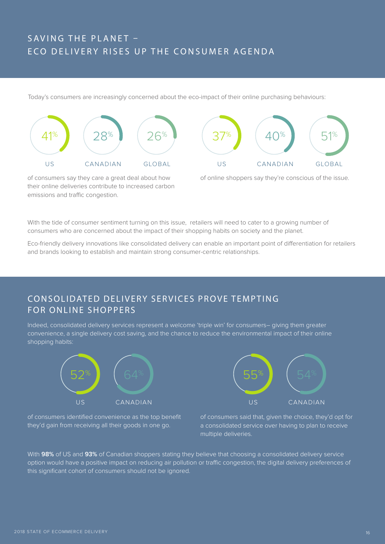### SAVING THE PLANET – ECO DELIVERY RISES UP THE CONSUMER AGENDA

Today's consumers are increasingly concerned about the eco-impact of their online purchasing behaviours:





of consumers say they care a great deal about how their online deliveries contribute to increased carbon emissions and traffic congestion.

of online shoppers say they're conscious of the issue.

With the tide of consumer sentiment turning on this issue, retailers will need to cater to a growing number of consumers who are concerned about the impact of their shopping habits on society and the planet.

Eco-friendly delivery innovations like consolidated delivery can enable an important point of differentiation for retailers and brands looking to establish and maintain strong consumer-centric relationships.

### CONSOLIDATED DELIVERY SERVICES PROVE TEMPTING FOR ONLINE SHOPPERS

Indeed, consolidated delivery services represent a welcome 'triple win' for consumers– giving them greater convenience, a single delivery cost saving, and the chance to reduce the environmental impact of their online shopping habits:



of consumers identified convenience as the top benefit they'd gain from receiving all their goods in one go.



of consumers said that, given the choice, they'd opt for a consolidated service over having to plan to receive multiple deliveries.

With **98%** of US and **93%** of Canadian shoppers stating they believe that choosing a consolidated delivery service option would have a positive impact on reducing air pollution or traffic congestion, the digital delivery preferences of this significant cohort of consumers should not be ignored.